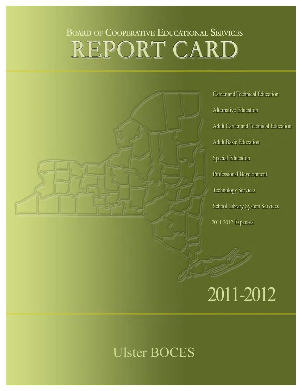## **BOARD OF COOPERATIVE EDUCATIONAL SERVICES** REPORT CARD

**Career and Technical Education Alternative Education Adult Career and Technical Education Adult Basic Education Special Education** Professional Development **Technology Services** School Library System Services 2011-2012

# 2011-2012

## Ulster BOCES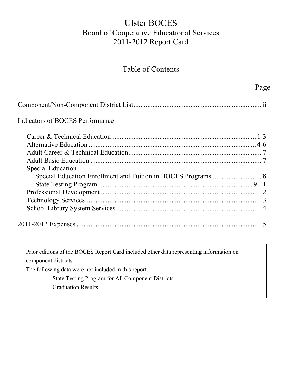## Ulster BOCES Board of Cooperative Educational Services 2011-2012 Report Card

## Table of Contents

|                                        | Page |
|----------------------------------------|------|
|                                        |      |
| <b>Indicators of BOCES Performance</b> |      |
|                                        |      |
|                                        |      |
|                                        |      |
|                                        |      |
| <b>Special Education</b>               |      |
|                                        |      |
|                                        |      |
|                                        |      |
|                                        |      |
|                                        |      |
|                                        | 15   |
|                                        |      |

Prior editions of the BOCES Report Card included other data representing information on component districts.

The following data were not included in this report.

- State Testing Program for All Component Districts
- Graduation Results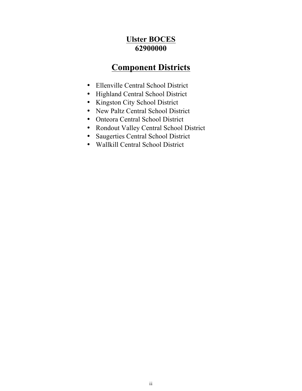## **Ulster BOCES 62900000**

## **Component Districts**

- <span id="page-2-0"></span>• Ellenville Central School District
- Highland Central School District
- Kingston City School District
- New Paltz Central School District
- Onteora Central School District
- Rondout Valley Central School District
- Saugerties Central School District
- Wallkill Central School District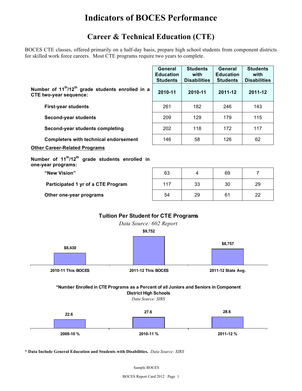## **Indicators of BOCES Performance**

## **Career & Technical Education (CTE)**

 BOCES CTE classes, offered primarily on a half-day basis, prepare high school students from component districts for skilled work force careers. Most CTE programs require two years to complete.

|                                                                                                                                            |                    | <b>General</b><br><b>Education</b><br><b>Students</b> | <b>Students</b><br>with<br><b>Disabilities</b> | <b>General</b><br><b>Education</b><br><b>Students</b> | <b>Students</b><br>with<br><b>Disabilities</b> |  |  |  |  |  |
|--------------------------------------------------------------------------------------------------------------------------------------------|--------------------|-------------------------------------------------------|------------------------------------------------|-------------------------------------------------------|------------------------------------------------|--|--|--|--|--|
| Number of 11 <sup>th</sup> /12 <sup>th</sup> grade students enrolled in a<br><b>CTE two-year sequence:</b>                                 |                    | 2010-11                                               | 2010-11                                        | 2011-12                                               | 2011-12                                        |  |  |  |  |  |
| <b>First-year students</b>                                                                                                                 |                    | 261                                                   | 182                                            | 246                                                   | 143                                            |  |  |  |  |  |
| <b>Second-year students</b>                                                                                                                |                    | 209                                                   | 129                                            | 179                                                   | 115                                            |  |  |  |  |  |
| Second-year students completing                                                                                                            |                    | 202                                                   | 118                                            | 172                                                   | 117                                            |  |  |  |  |  |
| <b>Completers with technical endorsement</b>                                                                                               |                    | 146                                                   | 58                                             | 126                                                   | 62                                             |  |  |  |  |  |
| <b>Other Career-Related Programs</b>                                                                                                       |                    |                                                       |                                                |                                                       |                                                |  |  |  |  |  |
| Number of 11 <sup>th</sup> /12 <sup>th</sup> grade students enrolled in<br>one-year programs:                                              |                    |                                                       |                                                |                                                       |                                                |  |  |  |  |  |
| "New Vision"                                                                                                                               |                    | 63                                                    | 4                                              | 69                                                    | 7                                              |  |  |  |  |  |
| Participated 1 yr of a CTE Program                                                                                                         |                    | 117                                                   | 33                                             | 30                                                    | 29                                             |  |  |  |  |  |
| Other one-year programs                                                                                                                    |                    | 54                                                    | 29                                             | 61                                                    | 22                                             |  |  |  |  |  |
| <b>Tuition Per Student for CTE Programs</b><br>Data Source: 602 Report<br>\$9,752<br>\$8,757<br>\$8,430                                    |                    |                                                       |                                                |                                                       |                                                |  |  |  |  |  |
| 2010-11 This BOCES                                                                                                                         | 2011-12 This BOCES |                                                       |                                                | 2011-12 State Avg.                                    |                                                |  |  |  |  |  |
| *Number Enrolled in CTE Programs as a Percent of all Juniors and Seniors in Component<br><b>District High Schools</b><br>Data Source: SIRS |                    |                                                       |                                                |                                                       |                                                |  |  |  |  |  |
| 22.6                                                                                                                                       | 27.6               |                                                       |                                                | 28.6                                                  |                                                |  |  |  |  |  |
| 2009-10 %                                                                                                                                  | 2010-11%           |                                                       |                                                | 2011-12%                                              |                                                |  |  |  |  |  |

 **\* Data Include General Education and Students with Disabilities.** *Data Source: SIRS*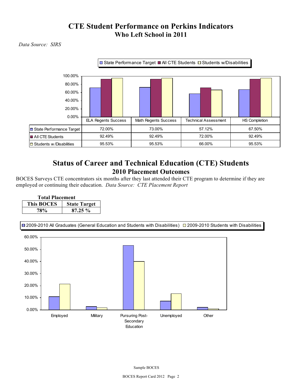### **CTE Student Performance on Perkins Indicators Who Left School in 2011**

*Data Source: SIRS* 



### **Status of Career and Technical Education (CTE) Students 2010 Placement Outcomes**

 BOCES Surveys CTE concentrators six months after they last attended their CTE program to determine if they are employed or continuing their education. *Data Source: CTE Placement Report* 

| <b>Total Placement</b>                   |            |  |  |  |  |  |
|------------------------------------------|------------|--|--|--|--|--|
| <b>This BOCES</b><br><b>State Target</b> |            |  |  |  |  |  |
| <b>78%</b>                               | $87.25 \%$ |  |  |  |  |  |



2009-2010 All Graduates (General Education and Students with Disabilities)  $\Box$  2009-2010 Students with Disabilities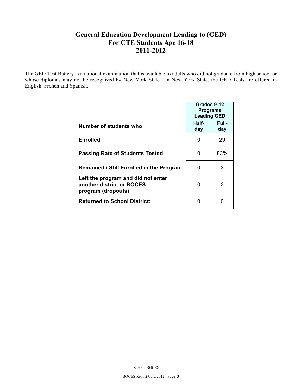#### **General Education Development Leading to (GED) For CTE Students Age 16-18 2011-2012**

 The GED Test Battery is a national examination that is available to adults who did not graduate from high school or whose diplomas may not be recognized by New York State. In New York State, the GED Tests are offered in English, French and Spanish.

|                                                                                       | Grades 9-12<br><b>Programs</b><br><b>Leading GED</b> |               |  |  |
|---------------------------------------------------------------------------------------|------------------------------------------------------|---------------|--|--|
| Number of students who:                                                               | Half-<br>day                                         | Full-<br>day  |  |  |
| Enrolled                                                                              | 0                                                    | 29            |  |  |
| <b>Passing Rate of Students Tested</b>                                                | 0                                                    | 83%           |  |  |
| <b>Remained / Still Enrolled in the Program</b>                                       | O                                                    | 3             |  |  |
| Left the program and did not enter<br>another district or BOCES<br>program (dropouts) | 0                                                    | $\mathcal{P}$ |  |  |
| <b>Returned to School District:</b>                                                   |                                                      | n             |  |  |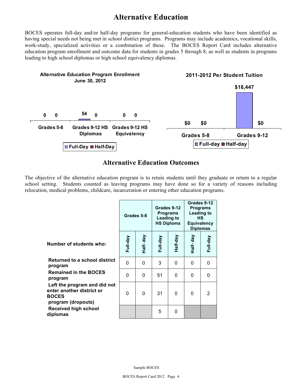## **Alternative Education**

 BOCES operates full-day and/or half-day programs for general-education students who have been identified as work-study, specialized activities or a combination of these. The BOCES Report Card includes alternative education program enrollment and outcome data for students in grades 5 through 8, as well as students in programs leading to high school diplomas or high school equivalency diplomas. having special needs not being met in school district programs. Programs may include academics, vocational skills,



#### **Alternative Education Outcomes**

 The objective of the alternative education program is to retain students until they graduate or return to a regular school setting. Students counted as leaving programs may have done so for a variety of reasons including relocation, medical problems, childcare, incarceration or entering other education programs.

|                                                                                                 | Grades 5-8 |          | Leading to<br><b>HS Diploma</b> | Grades 9-12<br><b>Programs</b> | Grades 9-12<br><b>Programs</b><br>Leading to<br><b>HS</b><br><b>Equivalency</b><br><b>Diplomas</b> |          |
|-------------------------------------------------------------------------------------------------|------------|----------|---------------------------------|--------------------------------|----------------------------------------------------------------------------------------------------|----------|
| <b>Number of students who:</b>                                                                  | Full-day   | Half-day | Full-day                        | Half-day                       | Half-day                                                                                           | Full-day |
| <b>Returned to a school district</b><br>program                                                 | $\Omega$   | 0        | 3                               | 0                              | $\Omega$                                                                                           | 0        |
| <b>Remained in the BOCES</b><br>program                                                         | $\Omega$   | $\Omega$ | 51                              | 0                              | 0                                                                                                  | 0        |
| Left the program and did not<br>enter another district or<br><b>BOCES</b><br>program (dropouts) | $\Omega$   | $\Omega$ | 31                              | 0                              | $\Omega$                                                                                           | 2        |
| <b>Received high school</b><br>diplomas                                                         |            |          | 5                               | 0                              |                                                                                                    |          |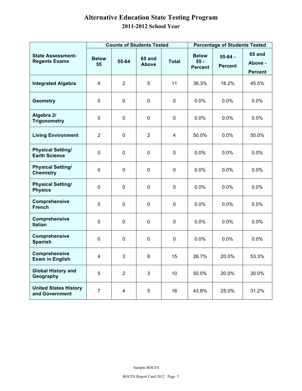#### **Alternative Education State Testing Program 2011-2012 School Year**

|                                                  |                         |                | <b>Counts of Students Tested</b> |              | <b>Percentage of Students Tested</b>     |                             |                                            |  |
|--------------------------------------------------|-------------------------|----------------|----------------------------------|--------------|------------------------------------------|-----------------------------|--------------------------------------------|--|
| <b>State Assessment-</b><br><b>Regents Exams</b> | <b>Below</b><br>55      | 55-64          | <b>65 and</b><br><b>Above</b>    | <b>Total</b> | <b>Below</b><br>$55 -$<br><b>Percent</b> | $55-64 -$<br><b>Percent</b> | <b>65 and</b><br>Above -<br><b>Percent</b> |  |
| <b>Integrated Algebra</b>                        | 4                       | $\overline{2}$ | 5                                | 11           | 36.3%                                    | 18.2%                       | 45.5%                                      |  |
| <b>Geometry</b>                                  | $\pmb{0}$               | $\mathbf 0$    | $\mathbf 0$                      | 0            | 0.0%                                     | 0.0%                        | 0.0%                                       |  |
| Algebra 2/<br><b>Trigonometry</b>                | 0                       | 0              | 0                                | 0            | 0.0%                                     | 0.0%                        | 0.0%                                       |  |
| <b>Living Environment</b>                        | $\overline{2}$          | 0              | $\overline{2}$                   | 4            | 50.0%                                    | 0.0%                        | 50.0%                                      |  |
| <b>Physical Setting/</b><br><b>Earth Science</b> | $\pmb{0}$               | $\mathbf 0$    | $\pmb{0}$                        | 0            | 0.0%                                     | 0.0%                        | 0.0%                                       |  |
| <b>Physical Setting/</b><br><b>Chemistry</b>     | $\mathsf 0$             | 0              | $\pmb{0}$                        | 0            | 0.0%                                     | 0.0%                        | 0.0%                                       |  |
| <b>Physical Setting/</b><br><b>Physics</b>       | 0                       | 0              | $\mathbf 0$                      | 0            | 0.0%                                     | 0.0%                        | 0.0%                                       |  |
| Comprehensive<br><b>French</b>                   | $\mathbf 0$             | $\mathbf 0$    | $\mathbf 0$                      | 0            | 0.0%                                     | 0.0%                        | 0.0%                                       |  |
| Comprehensive<br><b>Italian</b>                  | $\pmb{0}$               | 0              | 0                                | 0            | 0.0%                                     | $0.0\%$                     | 0.0%                                       |  |
| <b>Comprehensive</b><br><b>Spanish</b>           | $\mathbf 0$             | $\mathbf 0$    | 0                                | 0            | 0.0%                                     | $0.0\%$                     | 0.0%                                       |  |
| Comprehensive<br><b>Exam in English</b>          | $\overline{\mathbf{4}}$ | 3              | 8                                | 15           | 26.7%                                    | 20.0%                       | 53.3%                                      |  |
| <b>Global History and</b><br>Geography           | 5                       | $\overline{2}$ | 3                                | 10           | 50.0%                                    | 20.0%                       | 30.0%                                      |  |
| <b>United States History</b><br>and Government   | $\overline{7}$          | 4              | 5                                | 16           | 43.8%                                    | 25.0%                       | 31.2%                                      |  |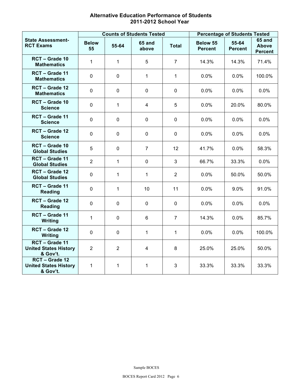| <b>Alternative Education Performance of Students</b> |
|------------------------------------------------------|
| 2011-2012 School Year                                |

|                                                            |                    |                | <b>Counts of Students Tested</b> | <b>Percentage of Students Tested</b> |                            |                         |                                          |
|------------------------------------------------------------|--------------------|----------------|----------------------------------|--------------------------------------|----------------------------|-------------------------|------------------------------------------|
| <b>State Assessment-</b><br><b>RCT Exams</b>               | <b>Below</b><br>55 | 55-64          | <b>65 and</b><br>above           | <b>Total</b>                         | Below 55<br><b>Percent</b> | 55-64<br><b>Percent</b> | <b>65 and</b><br>Above<br><b>Percent</b> |
| RCT - Grade 10<br><b>Mathematics</b>                       | 1                  | $\mathbf{1}$   | 5                                | $\overline{7}$                       | 14.3%                      | 14.3%                   | 71.4%                                    |
| RCT - Grade 11<br><b>Mathematics</b>                       | $\mathbf 0$        | $\mathbf 0$    | $\mathbf{1}$                     | $\mathbf{1}$                         | 0.0%                       | 0.0%                    | 100.0%                                   |
| RCT - Grade 12<br><b>Mathematics</b>                       | $\mathbf 0$        | $\mathbf 0$    | $\mathbf 0$                      | $\mathsf 0$                          | 0.0%                       | 0.0%                    | 0.0%                                     |
| RCT - Grade 10<br><b>Science</b>                           | $\overline{0}$     | $\mathbf{1}$   | $\overline{4}$                   | 5                                    | 0.0%                       | 20.0%                   | 80.0%                                    |
| RCT - Grade 11<br><b>Science</b>                           | $\mathbf 0$        | 0              | $\pmb{0}$                        | $\mathsf 0$                          | 0.0%                       | 0.0%                    | 0.0%                                     |
| RCT - Grade 12<br><b>Science</b>                           | $\overline{0}$     | $\mathbf 0$    | $\mathbf 0$                      | $\mathbf 0$                          | 0.0%                       | 0.0%                    | 0.0%                                     |
| RCT - Grade 10<br><b>Global Studies</b>                    | 5                  | $\mathbf 0$    | $\overline{7}$                   | 12                                   | 41.7%                      | 0.0%                    | 58.3%                                    |
| RCT - Grade 11<br><b>Global Studies</b>                    | $\overline{2}$     | $\mathbf{1}$   | $\pmb{0}$                        | 3                                    | 66.7%                      | 33.3%                   | 0.0%                                     |
| RCT - Grade 12<br><b>Global Studies</b>                    | $\mathbf 0$        | $\mathbf{1}$   | $\mathbf{1}$                     | $\overline{2}$                       | 0.0%                       | 50.0%                   | 50.0%                                    |
| RCT - Grade 11<br><b>Reading</b>                           | $\mathbf 0$        | $\mathbf{1}$   | 10                               | 11                                   | 0.0%                       | 9.0%                    | 91.0%                                    |
| RCT - Grade 12<br><b>Reading</b>                           | $\mathbf 0$        | $\mathbf 0$    | $\mathbf 0$                      | $\mathsf 0$                          | 0.0%                       | 0.0%                    | 0.0%                                     |
| RCT - Grade 11<br>Writing                                  | 1                  | $\mathbf 0$    | 6                                | $\overline{7}$                       | 14.3%                      | 0.0%                    | 85.7%                                    |
| RCT - Grade 12<br><b>Writing</b>                           | $\mathbf 0$        | $\mathbf 0$    | $\mathbf{1}$                     | $\mathbf{1}$                         | 0.0%                       | 0.0%                    | 100.0%                                   |
| RCT - Grade 11<br><b>United States History</b><br>& Gov't. | $\overline{2}$     | $\overline{2}$ | $\overline{4}$                   | 8                                    | 25.0%                      | 25.0%                   | 50.0%                                    |
| RCT - Grade 12<br><b>United States History</b><br>& Gov't. | 1                  | $\mathbf{1}$   | $\mathbf{1}$                     | 3                                    | 33.3%                      | 33.3%                   | 33.3%                                    |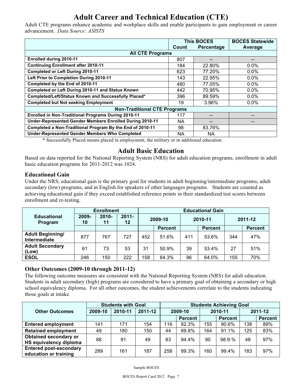## **Adult Career and Technical Education (CTE)**

 advancement. *Data Source: ASISTS*  Adult CTE programs enhance academic and workplace skills and enable participants to gain employment or career

|                                                            |       | <b>This BOCES</b> | <b>BOCES Statewide</b> |  |  |  |  |  |  |  |
|------------------------------------------------------------|-------|-------------------|------------------------|--|--|--|--|--|--|--|
|                                                            | Count | <b>Percentage</b> | Average                |  |  |  |  |  |  |  |
| <b>All CTE Programs</b>                                    |       |                   |                        |  |  |  |  |  |  |  |
| Enrolled during 2010-11                                    | 807   |                   | --                     |  |  |  |  |  |  |  |
| <b>Continuing Enrollment after 2010-11</b>                 | 184   | 22.80%            | $0.0\%$                |  |  |  |  |  |  |  |
| <b>Completed or Left During 2010-11</b>                    | 623   | 77.20%            | $0.0\%$                |  |  |  |  |  |  |  |
| Left Prior to Completion During 2010-11                    | 143   | 22.95%            | 0.0%                   |  |  |  |  |  |  |  |
| Completed by the End of 2010-11                            | 480   | 77.05%            | $0.0\%$                |  |  |  |  |  |  |  |
| Completed or Left During 2010-11 and Status Known          | 442   | 70.95%            | $0.0\%$                |  |  |  |  |  |  |  |
| Completed/Left/Status Known and Successfully Placed*       | 396   | 89.59%            | 0.0%                   |  |  |  |  |  |  |  |
| <b>Completed but Not seeking Employment</b>                | 19    | 3.96%             | $0.0\%$                |  |  |  |  |  |  |  |
| <b>Non-Traditional CTE Programs</b>                        |       |                   |                        |  |  |  |  |  |  |  |
| <b>Enrolled in Non-Traditional Programs During 2010-11</b> | 117   |                   | --                     |  |  |  |  |  |  |  |
| Under-Represented Gender Members Enrolled During 2010-11   | NA    | --                |                        |  |  |  |  |  |  |  |
| Completed a Non-Traditional Program By the End of 2010-11  | 98    | 83.76%            |                        |  |  |  |  |  |  |  |
| <b>Under-Represented Gender Members Who Completed</b>      | NA.   | NA.               |                        |  |  |  |  |  |  |  |

\* Successfully Placed means placed in employment, the military or in additional education.

#### **Adult Basic Education**

Based on data reported for the National Reporting System (NRS) for adult education programs, enrollment in adult basic education programs for 2011-2012 was 1024.

#### **Educational Gain**

 Under the NRS, educational gain is the primary goal for students in adult beginning/intermediate programs, adult secondary (low) programs, and in English for speakers of other languages programs. Students are counted as achieving educational gain if they exceed established reference points in their standardized test scores between enrollment and re-testing.

|                                         |                | <b>Enrollment</b> |                     | <b>Educational Gain</b> |                |         |                |         |                |  |
|-----------------------------------------|----------------|-------------------|---------------------|-------------------------|----------------|---------|----------------|---------|----------------|--|
| <b>Educational</b><br>Program           | $2009 -$<br>10 | $2010 -$<br>11    | $2011 -$<br>$12 \,$ | 2009-10                 |                | 2010-11 |                | 2011-12 |                |  |
|                                         |                |                   |                     |                         | <b>Percent</b> |         | <b>Percent</b> |         | <b>Percent</b> |  |
| <b>Adult Beginning/</b><br>Intermediate | 877            | 767               | 727                 | 452                     | 51.6%          | 411     | 53.6%          | 344     | 47%            |  |
| <b>Adult Secondary</b><br>(Low)         | 61             | 73                | 53                  | 31                      | 50.9%          | 39      | 53.4%          | 27      | 51%            |  |
| <b>ESOL</b>                             | 246            | 150               | 222                 | 158                     | 64.3%          | 96      | 64.0%          | 155     | 70%            |  |

#### **Other Outcomes (2009-10 through 2011-12)**

 The following outcome measures are consistent with the National Reporting System (NRS) for adult education. Students in adult secondary (high) programs are considered to have a primary goal of obtaining a secondary or high school equivalency diploma. For all other outcomes, the student achievements correlate to the students indicating those goals at intake.

|                                                        | <b>Students with Goal</b> |         |         | <b>Students Achieving Goal</b> |                |     |         |         |                |
|--------------------------------------------------------|---------------------------|---------|---------|--------------------------------|----------------|-----|---------|---------|----------------|
| <b>Other Outcomes</b>                                  | 2009-10                   | 2010-11 | 2011-12 | 2009-10                        |                |     | 2010-11 | 2011-12 |                |
|                                                        |                           |         |         |                                | <b>Percent</b> |     | Percent |         | <b>Percent</b> |
| <b>Entered employment</b>                              | 141                       | 171     | 154     | 116                            | 82.3%          | 155 | 90.6%   | 138     | 89%            |
| <b>Retained employment</b>                             | 49                        | 180     | 150     | 44                             | 89.8%          | 164 | 91.1%   | 125     | 83%            |
| Obtained secondary or<br>HS equivalency diploma        | 88                        | 91      | 49      | 83                             | 94.4%          | 90  | 98.9.%  | 48      | 97%            |
| <b>Entered post-secondary</b><br>education or training | 289                       | 161     | 187     | 258                            | 89.3%          | 160 | 99.4%   | 183     | 97%            |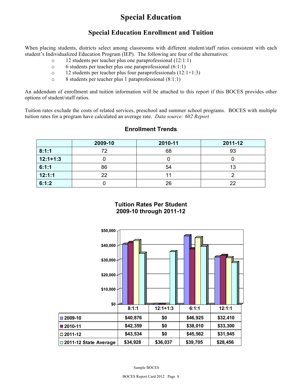## **Special Education**

#### **Special Education Enrollment and Tuition**

 When placing students, districts select among classrooms with different student/staff ratios consistent with each student's Individualized Education Program (IEP). The following are four of the alternatives:

- o 12 students per teacher plus one paraprofessional (12:1:1)
- o 6 students per teacher plus one paraprofessional (6:1:1)
- o 12 students per teacher plus four paraprofessionals (12:1+1:3)
- o 8 students per teacher plus 1 paraprofessional (8:1:1)

 An addendum of enrollment and tuition information will be attached to this report if this BOCES provides other options of student/staff ratios.

 Tuition rates exclude the costs of related services, preschool and summer school programs. BOCES with multiple  tuition rates for a program have calculated an average rate. *Data source: 602 Report* 

|            | 2009-10 | 2010-11 | 2011-12 |
|------------|---------|---------|---------|
| 8:1:1      | 72      | 68      | 93      |
| $12:1+1:3$ |         |         |         |
| 6:1:1      | 86      | 54      | 13      |
| 12:1:1     | 22      |         |         |
| 6:1:2      |         | 26      | 22      |

#### **Enrollment Trends**

**Tuition Rates Per Student 2009-10 through 2011-12** 

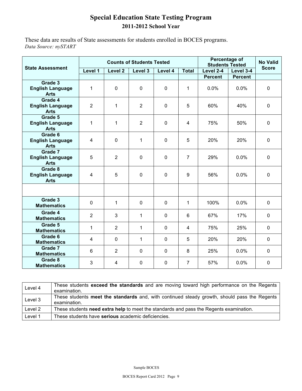#### **Special Education State Testing Program 2011-2012 School Year**

 *Data Source: nySTART*  These data are results of State assessments for students enrolled in BOCES programs.

|                                                   |                |                    | <b>Counts of Students Tested</b> |                |                | Percentage of<br><b>Students Tested</b> | <b>No Valid</b> |              |
|---------------------------------------------------|----------------|--------------------|----------------------------------|----------------|----------------|-----------------------------------------|-----------------|--------------|
| <b>State Assessment</b>                           | Level 1        | Level <sub>2</sub> | Level 3                          | Level 4        | <b>Total</b>   | Level 2-4                               | Level 3-4       | <b>Score</b> |
|                                                   |                |                    |                                  |                |                | <b>Percent</b>                          | <b>Percent</b>  |              |
| Grade 3<br><b>English Language</b><br><b>Arts</b> | 1              | 0                  | $\overline{0}$                   | $\mathbf 0$    | 1              | 0.0%                                    | 0.0%            | $\mathbf 0$  |
| Grade 4<br><b>English Language</b><br><b>Arts</b> | $\overline{2}$ | 1                  | $\overline{2}$                   | $\mathbf 0$    | 5              | 60%                                     | 40%             | $\mathbf 0$  |
| Grade 5<br><b>English Language</b><br><b>Arts</b> | 1              | 1                  | $\overline{2}$                   | $\mathbf 0$    | 4              | 75%                                     | 50%             | $\mathbf 0$  |
| Grade 6<br><b>English Language</b><br><b>Arts</b> | 4              | 0                  | 1                                | $\mathbf 0$    | 5              | 20%                                     | 20%             | $\mathbf 0$  |
| Grade 7<br><b>English Language</b><br><b>Arts</b> | 5              | $\overline{2}$     | 0                                | $\mathbf 0$    | $\overline{7}$ | 29%                                     | 0.0%            | $\mathbf 0$  |
| Grade 8<br><b>English Language</b><br><b>Arts</b> | $\overline{4}$ | 5                  | $\mathsf 0$                      | $\overline{0}$ | 9              | 56%                                     | 0.0%            | $\mathbf 0$  |
|                                                   |                |                    |                                  |                |                |                                         |                 |              |
| Grade 3<br><b>Mathematics</b>                     | $\mathbf 0$    | 1                  | $\mathbf 0$                      | $\mathbf 0$    | $\mathbf 1$    | 100%                                    | 0.0%            | $\mathbf 0$  |
| Grade 4<br><b>Mathematics</b>                     | $\overline{2}$ | 3                  | 1                                | $\mathbf 0$    | 6              | 67%                                     | 17%             | $\mathbf{0}$ |
| Grade 5<br><b>Mathematics</b>                     | 1              | 2                  | 1                                | 0              | 4              | 75%                                     | 25%             | 0            |
| Grade 6<br><b>Mathematics</b>                     | 4              | 0                  | $\mathbf 1$                      | 0              | 5              | 20%                                     | 20%             | $\Omega$     |
| Grade 7<br><b>Mathematics</b>                     | 6              | $\overline{2}$     | 0                                | 0              | 8              | 25%                                     | 0.0%            | $\mathbf 0$  |
| Grade 8<br><b>Mathematics</b>                     | 3              | 4                  | 0                                | 0              | $\overline{7}$ | 57%                                     | 0.0%            | 0            |

| Level 4 | These students exceed the standards and are moving toward high performance on the Regents<br>examination.    |
|---------|--------------------------------------------------------------------------------------------------------------|
| Level 3 | These students meet the standards and, with continued steady growth, should pass the Regents<br>examination. |
| Level 2 | These students need extra help to meet the standards and pass the Regents examination.                       |
| Level 1 | These students have serious academic deficiencies.                                                           |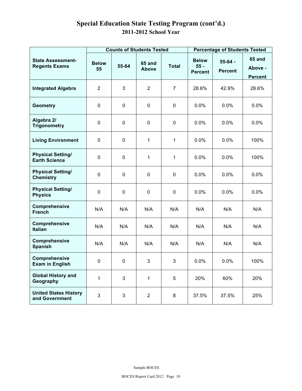### **Special Education State Testing Program (cont'd.) 2011-2012 School Year**

|                                                  |                                                                              |             | <b>Counts of Students Tested</b>         |                             |                                     | <b>Percentage of Students Tested</b> |       |  |  |
|--------------------------------------------------|------------------------------------------------------------------------------|-------------|------------------------------------------|-----------------------------|-------------------------------------|--------------------------------------|-------|--|--|
| <b>State Assessment-</b><br><b>Regents Exams</b> | <b>Below</b><br><b>65 and</b><br><b>Total</b><br>55-64<br><b>Above</b><br>55 |             | <b>Below</b><br>$55 -$<br><b>Percent</b> | $55-64 -$<br><b>Percent</b> | 65 and<br>Above -<br><b>Percent</b> |                                      |       |  |  |
| <b>Integrated Algebra</b>                        | $\overline{2}$                                                               | 3           | $\overline{2}$                           | $\overline{7}$              | 28.6%                               | 42.9%                                | 28.6% |  |  |
| <b>Geometry</b>                                  | $\pmb{0}$                                                                    | 0           | $\mathbf 0$                              | 0                           | 0.0%                                | 0.0%                                 | 0.0%  |  |  |
| Algebra 2/<br><b>Trigonometry</b>                | $\pmb{0}$                                                                    | 0           | 0                                        | $\mathbf 0$                 | 0.0%                                | 0.0%                                 | 0.0%  |  |  |
| <b>Living Environment</b>                        | $\mathbf 0$                                                                  | 0           | 1                                        | 1                           | 0.0%                                | 0.0%                                 | 100%  |  |  |
| <b>Physical Setting/</b><br><b>Earth Science</b> | $\pmb{0}$                                                                    | $\pmb{0}$   | 1                                        | 1                           | 0.0%                                | 0.0%                                 | 100%  |  |  |
| <b>Physical Setting/</b><br><b>Chemistry</b>     | $\mathbf 0$                                                                  | $\mathbf 0$ | $\mathbf 0$                              | $\mathbf 0$                 | 0.0%                                | 0.0%                                 | 0.0%  |  |  |
| <b>Physical Setting/</b><br><b>Physics</b>       | $\mathbf 0$                                                                  | 0           | 0                                        | $\mathbf 0$                 | 0.0%                                | 0.0%                                 | 0.0%  |  |  |
| Comprehensive<br><b>French</b>                   | N/A                                                                          | N/A         | N/A                                      | N/A                         | N/A                                 | N/A                                  | N/A   |  |  |
| Comprehensive<br><b>Italian</b>                  | N/A                                                                          | N/A         | N/A                                      | N/A                         | N/A                                 | N/A                                  | N/A   |  |  |
| Comprehensive<br><b>Spanish</b>                  | N/A                                                                          | N/A         | N/A                                      | N/A                         | N/A                                 | N/A                                  | N/A   |  |  |
| Comprehensive<br><b>Exam in English</b>          | $\pmb{0}$                                                                    | $\mathbf 0$ | 3                                        | 3                           | 0.0%                                | 0.0%                                 | 100%  |  |  |
| <b>Global History and</b><br>Geography           | 1                                                                            | 3           | 1                                        | 5                           | 20%                                 | 60%                                  | 20%   |  |  |
| <b>United States History</b><br>and Government   | $\mathbf{3}$                                                                 | 3           | $\overline{a}$                           | 8                           | 37.5%                               | 37.5%                                | 25%   |  |  |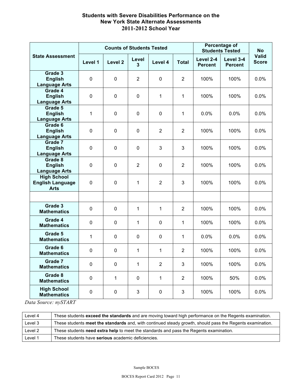#### **New York State Alternate Assessments Students with Severe Disabilities Performance on the 2011-2012 School Year**

|                                            |             | <b>Counts of Students Tested</b> |                |                |                |                             | Percentage of<br><b>Students Tested</b> | <b>No</b>                    |
|--------------------------------------------|-------------|----------------------------------|----------------|----------------|----------------|-----------------------------|-----------------------------------------|------------------------------|
| <b>State Assessment</b>                    | Level 1     | Level <sub>2</sub>               | Level<br>3     | Level 4        | <b>Total</b>   | Level 2-4<br><b>Percent</b> | Level 3-4<br><b>Percent</b>             | <b>Valid</b><br><b>Score</b> |
| Grade 3                                    |             |                                  |                |                |                |                             |                                         |                              |
| <b>English</b><br><b>Language Arts</b>     | $\mathbf 0$ | $\mathbf 0$                      | $\overline{2}$ | 0              | $\overline{2}$ | 100%                        | 100%                                    | 0.0%                         |
| Grade 4                                    |             |                                  |                |                |                |                             |                                         |                              |
| <b>English</b>                             | $\mathbf 0$ | $\mathbf 0$                      | $\mathbf 0$    | 1              | $\mathbf{1}$   | 100%                        | 100%                                    | 0.0%                         |
| <b>Language Arts</b>                       |             |                                  |                |                |                |                             |                                         |                              |
| Grade 5                                    |             |                                  |                |                |                |                             |                                         |                              |
| <b>English</b><br><b>Language Arts</b>     | 1           | $\mathbf 0$                      | $\mathbf 0$    | $\mathbf 0$    | $\mathbf{1}$   | 0.0%                        | 0.0%                                    | 0.0%                         |
| Grade 6                                    |             |                                  |                |                |                |                             |                                         |                              |
| <b>English</b>                             | $\mathbf 0$ | $\mathbf 0$                      | $\mathbf 0$    | $\overline{2}$ | $\overline{2}$ | 100%                        | 100%                                    | 0.0%                         |
| <b>Language Arts</b>                       |             |                                  |                |                |                |                             |                                         |                              |
| Grade 7<br><b>English</b>                  | $\mathbf 0$ | $\mathbf 0$                      | $\mathbf 0$    | 3              | 3              | 100%                        | 100%                                    | 0.0%                         |
| <b>Language Arts</b>                       |             |                                  |                |                |                |                             |                                         |                              |
| Grade 8                                    |             |                                  |                |                |                |                             |                                         |                              |
| <b>English</b>                             | $\mathbf 0$ | $\mathbf 0$                      | $\overline{2}$ | $\mathbf 0$    | $\overline{2}$ | 100%                        | 100%                                    | 0.0%                         |
| <b>Language Arts</b><br><b>High School</b> |             |                                  |                |                |                |                             |                                         |                              |
| <b>English Language</b>                    | $\mathbf 0$ | $\mathsf 0$                      | $\mathbf{1}$   | $\overline{2}$ | 3              | 100%                        | 100%                                    | 0.0%                         |
| <b>Arts</b>                                |             |                                  |                |                |                |                             |                                         |                              |
|                                            |             |                                  |                |                |                |                             |                                         |                              |
| Grade 3<br><b>Mathematics</b>              | $\mathbf 0$ | $\mathsf 0$                      | 1              | 1              | $\overline{2}$ | 100%                        | 100%                                    | 0.0%                         |
| Grade 4<br><b>Mathematics</b>              | 0           | 0                                | $\mathbf{1}$   | $\mathbf 0$    | $\mathbf{1}$   | 100%                        | 100%                                    | 0.0%                         |
| Grade 5<br><b>Mathematics</b>              | 1           | $\mathsf 0$                      | $\mathbf 0$    | 0              | $\mathbf{1}$   | 0.0%                        | 0.0%                                    | 0.0%                         |
| Grade 6<br><b>Mathematics</b>              | $\mathbf 0$ | $\mathbf 0$                      | $\mathbf{1}$   | 1              | $\overline{2}$ | 100%                        | 100%                                    | 0.0%                         |
| Grade 7<br><b>Mathematics</b>              | $\mathbf 0$ | 0                                | $\mathbf{1}$   | $\overline{2}$ | 3              | 100%                        | 100%                                    | 0.0%                         |
| Grade 8<br><b>Mathematics</b>              | $\mathbf 0$ | $\mathbf{1}$                     | $\mathbf 0$    | 1              | $\overline{2}$ | 100%                        | 50%                                     | 0.0%                         |
| <b>High School</b><br><b>Mathematics</b>   | 0           | 0                                | 3              | 0              | 3              | 100%                        | 100%                                    | 0.0%                         |

*Data Source: nySTART* 

| Level 4 | These students exceed the standards and are moving toward high performance on the Regents examination.    |
|---------|-----------------------------------------------------------------------------------------------------------|
| Level 3 | These students meet the standards and, with continued steady growth, should pass the Regents examination. |
| Level 2 | These students need extra help to meet the standards and pass the Regents examination.                    |
| Level 1 | These students have <b>serious</b> academic deficiencies.                                                 |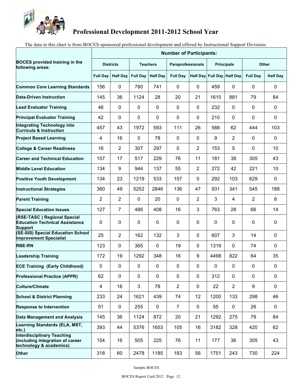

#### **Professional Development 2011-2012 School Year**

The data in this chart is from BOCES-sponsored professional development and offered by Instructional Support Divisions.

|                                                                                                  | <b>Number of Participants:</b> |                 |                     |             |                          |                            |                   |                |                 |                 |
|--------------------------------------------------------------------------------------------------|--------------------------------|-----------------|---------------------|-------------|--------------------------|----------------------------|-------------------|----------------|-----------------|-----------------|
| <b>BOCES</b> provided training in the<br>following areas:                                        | <b>Districts</b>               |                 | <b>Teachers</b>     |             | <b>Paraprofessionals</b> |                            | <b>Principals</b> |                | <b>Other</b>    |                 |
|                                                                                                  | <b>Full Day</b>                | <b>Half Day</b> | Full Day   Half Day |             | <b>Full Day</b>          | Half Day Full Day Half Day |                   |                | <b>Full Day</b> | <b>Half Day</b> |
| <b>Common Core Learning Standards</b>                                                            | 156                            | 0               | 780                 | 741         | 0                        | 0                          | 459               | 0              | 0               | $\mathbf{0}$    |
| Data-Driven Instruction                                                                          | 145                            | 36              | 1124                | 28          | 20                       | 21                         | 1610              | 881            | 79              | 84              |
| <b>Lead Evaluator Training</b>                                                                   | 46                             | 0               | 0                   | 0           | 0                        | 0                          | 232               | 0              | 0               | $\mathbf{0}$    |
| <b>Principal Evaluator Training</b>                                                              | 42                             | 0               | 0                   | 0           | 0                        | 0                          | 210               | $\mathbf{0}$   | 0               | 0               |
| <b>Integrating Technology into</b><br><b>Curricula &amp; Instruction</b>                         | 457                            | 43              | 1972                | 593         | 111                      | 26                         | 588               | 62             | 444             | 103             |
| <b>Project Based Learning</b>                                                                    | 4                              | 16              | 0                   | 78          | 0                        | 0                          | 9                 | 2              | 0               | 0               |
| <b>College &amp; Career Readiness</b>                                                            | 16                             | $\overline{2}$  | 307                 | 297         | 0                        | $\overline{2}$             | 153               | 5              | 0               | 10              |
| <b>Career and Technical Education</b>                                                            | 157                            | 17              | 517                 | 229         | 76                       | 11                         | 181               | 38             | 305             | 43              |
| <b>Middle Level Education</b>                                                                    | 134                            | 9               | 944                 | 137         | 55                       | $\overline{2}$             | 272               | 42             | 221             | 10              |
| <b>Positive Youth Development</b>                                                                | 134                            | 23              | 1219                | 533         | 157                      | 0                          | 292               | 103            | 629             | 0               |
| <b>Instructional Strategies</b>                                                                  | 360                            | 49              | 5252                | 2846        | 136                      | 47                         | 931               | 341            | 545             | 188             |
| <b>Parent Training</b>                                                                           | 2                              | $\overline{2}$  | $\mathbf{0}$        | 20          | 0                        | $\overline{2}$             | 3                 | 4              | $\overline{2}$  | 8               |
| <b>Special Education Issues</b>                                                                  | 127                            | $\overline{7}$  | 486                 | 408         | 16                       | 3                          | 763               | 28             | 66              | 14              |
| (RSE-TASC) Regional Special<br><b>Education Technical Assistance</b><br><b>Support</b>           | 0                              | 0               | $\mathbf{0}$        | 0           | 0                        | 0                          | $\mathbf{0}$      | 0              | 0               | $\mathbf 0$     |
| (SE-SIS) Special Education School<br><b>Improvement Specialist</b>                               | 25                             | $\overline{2}$  | 162                 | 132         | 3                        | $\mathbf{0}$               | 607               | 3              | 14              | 0               |
| <b>RBE-RN</b>                                                                                    | 123                            | 0               | 365                 | 0           | 19                       | $\mathbf{0}$               | 1319              | 0              | 74              | 0               |
| <b>Leadership Training</b>                                                                       | 172                            | 19              | 1292                | 348         | 16                       | 9                          | 4498              | 822            | 64              | 35              |
| <b>ECE Training (Early Childhood)</b>                                                            | 0                              | 0               | $\mathbf 0$         | 0           | 0                        | 0                          | $\mathbf 0$       | 0              | 0               | $\mathbf 0$     |
| <b>Professional Practice (APPR)</b>                                                              | 62                             | 0               | $\mathbf 0$         | $\mathbf 0$ | $\pmb{0}$                | 0                          | 312               | 0              | 0               | 0               |
| <b>Culture/Climate</b>                                                                           | $\overline{\mathbf{4}}$        | 16              | 3                   | 78          | $\overline{2}$           | 0                          | 22                | $\overline{2}$ | 9               | 0               |
| <b>School &amp; District Planning</b>                                                            | 233                            | 24              | 1621                | 439         | 74                       | 12                         | 1200              | 133            | 298             | 46              |
| <b>Response to Intervention</b>                                                                  | 51                             | $\pmb{0}$       | 255                 | $\mathbf 0$ | $\overline{7}$           | 0                          | 55                | 0              | 26              | 0               |
| <b>Data Management and Analysis</b>                                                              | 145                            | 36              | 1124                | 872         | 20                       | 21                         | 1292              | 275            | 79              | 84              |
| Learning Standards (ELA, MST,<br>letc.)                                                          | 393                            | 44              | 5376                | 1653        | 105                      | 16                         | 3182              | 328            | 420             | 62              |
| <b>Interdisciplinary Teaching</b><br>(including integration of career<br>technology & academics) | 154                            | 16              | 505                 | 225         | 76                       | 11                         | 177               | 36             | 305             | 43              |
| <b>Other</b>                                                                                     | 318                            | 60              | 2478                | 1185        | 183                      | 56                         | 1751              | 243            | 730             | 224             |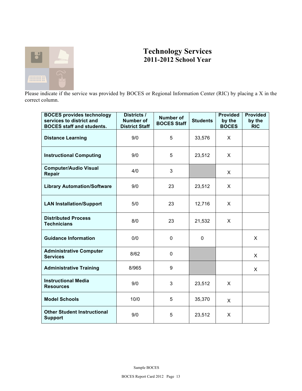

## **Technology Services 2011-2012 School Year**

 Please indicate if the service was provided by BOCES or Regional Information Center (RIC) by placing a X in the correct column.

| <b>BOCES provides technology</b><br>services to district and<br><b>BOCES</b> staff and students. | Districts /<br><b>Number of</b><br><b>District Staff</b> | <b>Number of</b><br><b>BOCES Staff</b> | <b>Students</b> | <b>Provided</b><br>by the<br><b>BOCES</b> | <b>Provided</b><br>by the<br><b>RIC</b> |
|--------------------------------------------------------------------------------------------------|----------------------------------------------------------|----------------------------------------|-----------------|-------------------------------------------|-----------------------------------------|
| <b>Distance Learning</b>                                                                         | 9/0                                                      | 5                                      | 33,576          | X                                         |                                         |
| <b>Instructional Computing</b>                                                                   | 9/0                                                      | 5                                      | 23,512          | X                                         |                                         |
| <b>Computer/Audio Visual</b><br>Repair                                                           | 4/0                                                      | 3                                      |                 | X                                         |                                         |
| <b>Library Automation/Software</b>                                                               | 9/0                                                      | 23                                     | 23,512          | X                                         |                                         |
| <b>LAN Installation/Support</b>                                                                  | 5/0                                                      | 23                                     | 12,716          | X                                         |                                         |
| <b>Distributed Process</b><br><b>Technicians</b>                                                 | 8/0                                                      | 23                                     | 21,532          | X                                         |                                         |
| <b>Guidance Information</b>                                                                      | 0/0                                                      | $\mathbf 0$                            | $\mathbf 0$     |                                           | X                                       |
| <b>Administrative Computer</b><br><b>Services</b>                                                | 8/62                                                     | $\mathbf 0$                            |                 |                                           | X                                       |
| <b>Administrative Training</b>                                                                   | 8/965                                                    | 9                                      |                 |                                           | X                                       |
| <b>Instructional Media</b><br><b>Resources</b>                                                   | 9/0                                                      | 3                                      | 23,512          | X                                         |                                         |
| <b>Model Schools</b>                                                                             | 10/0                                                     | 5                                      | 35,370          | X                                         |                                         |
| <b>Other Student Instructional</b><br><b>Support</b>                                             | 9/0                                                      | 5                                      | 23,512          | X                                         |                                         |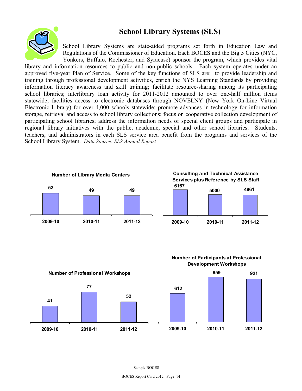## **School Library Systems (SLS)**



School Library Systems are state-aided programs set forth in Education Law and Regulations of the Commissioner of Education. Each BOCES and the Big 5 Cities (NYC,

 School Library System. *Data Source: SLS Annual Report*  Yonkers, Buffalo, Rochester, and Syracuse) sponsor the program, which provides vital library and information resources to public and non-public schools. Each system operates under an approved five-year Plan of Service. Some of the key functions of SLS are: to provide leadership and training through professional development activities, enrich the NYS Learning Standards by providing information literacy awareness and skill training; facilitate resource-sharing among its participating school libraries; interlibrary loan activity for 2011-2012 amounted to over one-half million items statewide; facilities access to electronic databases through NOVELNY (New York On-Line Virtual Electronic Library) for over 4,000 schools statewide; promote advances in technology for information storage, retrieval and access to school library collections; focus on cooperative collection development of participating school libraries; address the information needs of special client groups and participate in regional library initiatives with the public, academic, special and other school libraries. Students, teachers, and administrators in each SLS service area benefit from the programs and services of the









**Number of Participants at Professional De ve lopme nt W orkshops**